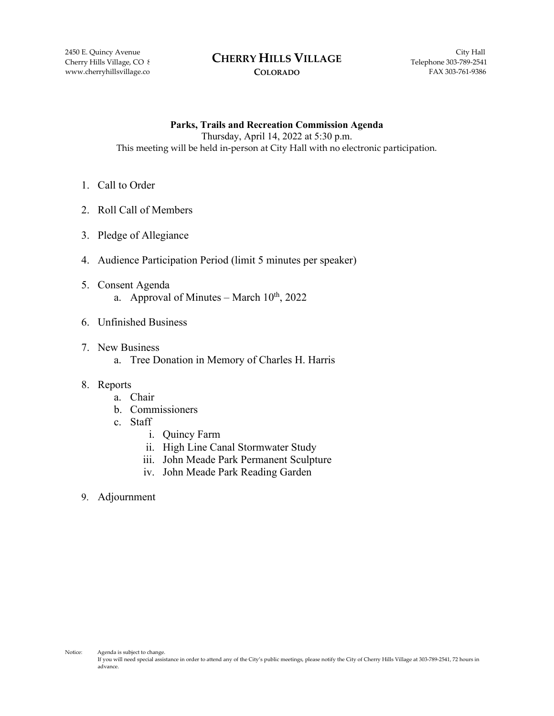#### 2450 E. Quincy Avenue City Hall **CHERRY HILLS VILLAGE** Cherry Hills Village, CO 8 **CHEKKY HILLS VILLAGE** Telephone 303-789-2541

### **COLORADO**

**Parks, Trails and Recreation Commission Agenda** Thursday, April 14, 2022 at 5:30 p.m. This meeting will be held in-person at City Hall with no electronic participation.

- 1. Call to Order
- 2. Roll Call of Members
- 3. Pledge of Allegiance
- 4. Audience Participation Period (limit 5 minutes per speaker)
- 5. Consent Agenda a. Approval of Minutes – March  $10^{th}$ , 2022
- 6. Unfinished Business
- 7. New Business
	- a. Tree Donation in Memory of Charles H. Harris

### 8. Reports

- a. Chair
- b. Commissioners
- c. Staff
	- i. Quincy Farm
	- ii. High Line Canal Stormwater Study
	- iii. John Meade Park Permanent Sculpture
	- iv. John Meade Park Reading Garden
- 9. Adjournment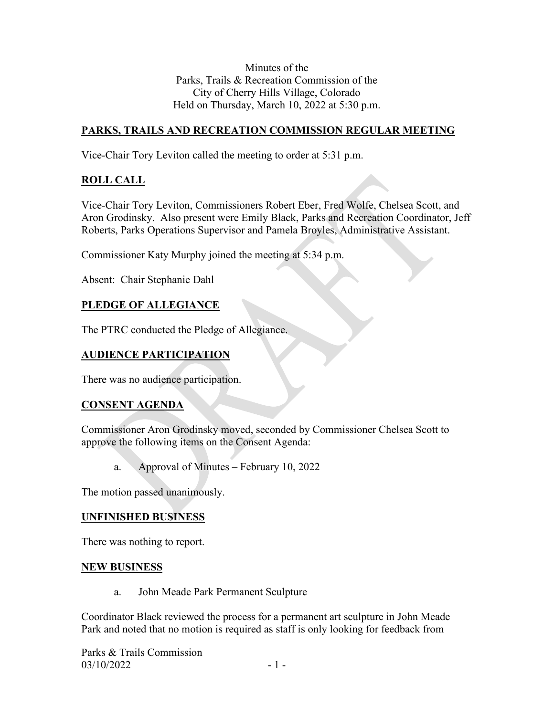Minutes of the Parks, Trails & Recreation Commission of the City of Cherry Hills Village, Colorado Held on Thursday, March 10, 2022 at 5:30 p.m.

# **PARKS, TRAILS AND RECREATION COMMISSION REGULAR MEETING**

Vice-Chair Tory Leviton called the meeting to order at 5:31 p.m.

# **ROLL CALL**

Vice-Chair Tory Leviton, Commissioners Robert Eber, Fred Wolfe, Chelsea Scott, and Aron Grodinsky. Also present were Emily Black, Parks and Recreation Coordinator, Jeff Roberts, Parks Operations Supervisor and Pamela Broyles, Administrative Assistant.

Commissioner Katy Murphy joined the meeting at 5:34 p.m.

Absent: Chair Stephanie Dahl

# **PLEDGE OF ALLEGIANCE**

The PTRC conducted the Pledge of Allegiance.

# **AUDIENCE PARTICIPATION**

There was no audience participation.

# **CONSENT AGENDA**

Commissioner Aron Grodinsky moved, seconded by Commissioner Chelsea Scott to approve the following items on the Consent Agenda:

a. Approval of Minutes – February 10, 2022

The motion passed unanimously.

### **UNFINISHED BUSINESS**

There was nothing to report.

### **NEW BUSINESS**

a. John Meade Park Permanent Sculpture

Coordinator Black reviewed the process for a permanent art sculpture in John Meade Park and noted that no motion is required as staff is only looking for feedback from

Parks & Trails Commission  $03/10/2022$  - 1 -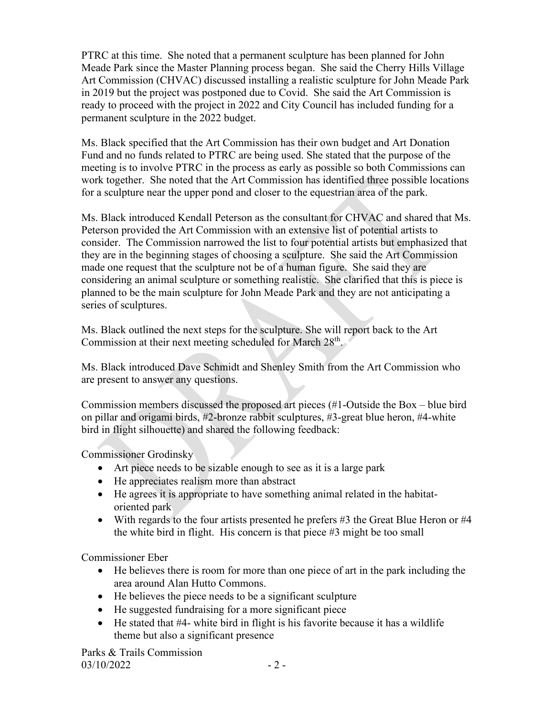PTRC at this time. She noted that a permanent sculpture has been planned for John Meade Park since the Master Planning process began. She said the Cherry Hills Village Art Commission (CHVAC) discussed installing a realistic sculpture for John Meade Park in 2019 but the project was postponed due to Covid. She said the Art Commission is ready to proceed with the project in 2022 and City Council has included funding for a permanent sculpture in the 2022 budget.

Ms. Black specified that the Art Commission has their own budget and Art Donation Fund and no funds related to PTRC are being used. She stated that the purpose of the meeting is to involve PTRC in the process as early as possible so both Commissions can work together. She noted that the Art Commission has identified three possible locations for a sculpture near the upper pond and closer to the equestrian area of the park.

Ms. Black introduced Kendall Peterson as the consultant for CHVAC and shared that Ms. Peterson provided the Art Commission with an extensive list of potential artists to consider. The Commission narrowed the list to four potential artists but emphasized that they are in the beginning stages of choosing a sculpture. She said the Art Commission made one request that the sculpture not be of a human figure. She said they are considering an animal sculpture or something realistic. She clarified that this is piece is planned to be the main sculpture for John Meade Park and they are not anticipating a series of sculptures.

Ms. Black outlined the next steps for the sculpture. She will report back to the Art Commission at their next meeting scheduled for March 28th.

Ms. Black introduced Dave Schmidt and Shenley Smith from the Art Commission who are present to answer any questions.

Commission members discussed the proposed art pieces (#1-Outside the Box – blue bird on pillar and origami birds, #2-bronze rabbit sculptures, #3-great blue heron, #4-white bird in flight silhouette) and shared the following feedback:

Commissioner Grodinsky

- Art piece needs to be sizable enough to see as it is a large park
- He appreciates realism more than abstract
- He agrees it is appropriate to have something animal related in the habitatoriented park
- With regards to the four artists presented he prefers #3 the Great Blue Heron or #4 the white bird in flight. His concern is that piece #3 might be too small

Commissioner Eber

- He believes there is room for more than one piece of art in the park including the area around Alan Hutto Commons.
- He believes the piece needs to be a significant sculpture
- He suggested fundraising for a more significant piece
- He stated that #4- white bird in flight is his favorite because it has a wildlife theme but also a significant presence

Parks & Trails Commission  $03/10/2022$  - 2 -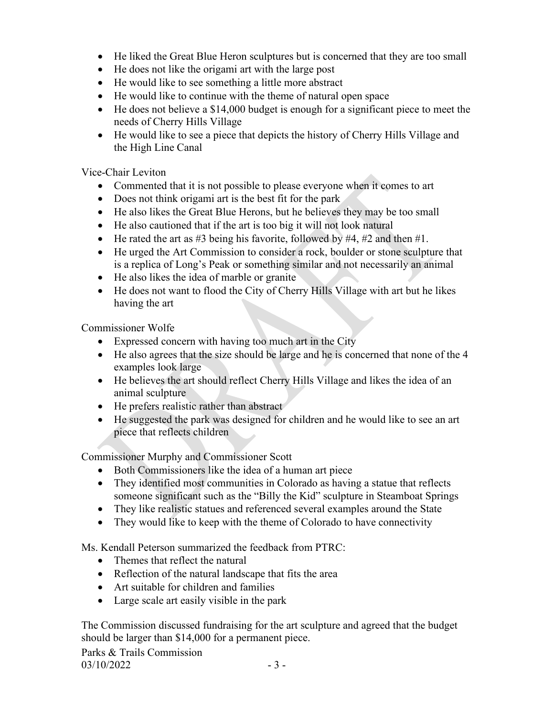- He liked the Great Blue Heron sculptures but is concerned that they are too small
- He does not like the origami art with the large post
- He would like to see something a little more abstract
- He would like to continue with the theme of natural open space
- He does not believe a \$14,000 budget is enough for a significant piece to meet the needs of Cherry Hills Village
- He would like to see a piece that depicts the history of Cherry Hills Village and the High Line Canal

Vice-Chair Leviton

- Commented that it is not possible to please everyone when it comes to art
- Does not think origami art is the best fit for the park
- He also likes the Great Blue Herons, but he believes they may be too small
- He also cautioned that if the art is too big it will not look natural
- He rated the art as  $\#3$  being his favorite, followed by  $\#4$ ,  $\#2$  and then  $\#1$ .
- He urged the Art Commission to consider a rock, boulder or stone sculpture that is a replica of Long's Peak or something similar and not necessarily an animal
- He also likes the idea of marble or granite
- He does not want to flood the City of Cherry Hills Village with art but he likes having the art

Commissioner Wolfe

- Expressed concern with having too much art in the City
- He also agrees that the size should be large and he is concerned that none of the 4 examples look large
- He believes the art should reflect Cherry Hills Village and likes the idea of an animal sculpture
- He prefers realistic rather than abstract
- He suggested the park was designed for children and he would like to see an art piece that reflects children

Commissioner Murphy and Commissioner Scott

- Both Commissioners like the idea of a human art piece
- They identified most communities in Colorado as having a statue that reflects someone significant such as the "Billy the Kid" sculpture in Steamboat Springs
- They like realistic statues and referenced several examples around the State
- They would like to keep with the theme of Colorado to have connectivity

Ms. Kendall Peterson summarized the feedback from PTRC:

- Themes that reflect the natural
- Reflection of the natural landscape that fits the area
- Art suitable for children and families
- Large scale art easily visible in the park

The Commission discussed fundraising for the art sculpture and agreed that the budget should be larger than \$14,000 for a permanent piece.

Parks & Trails Commission  $03/10/2022$  - 3 -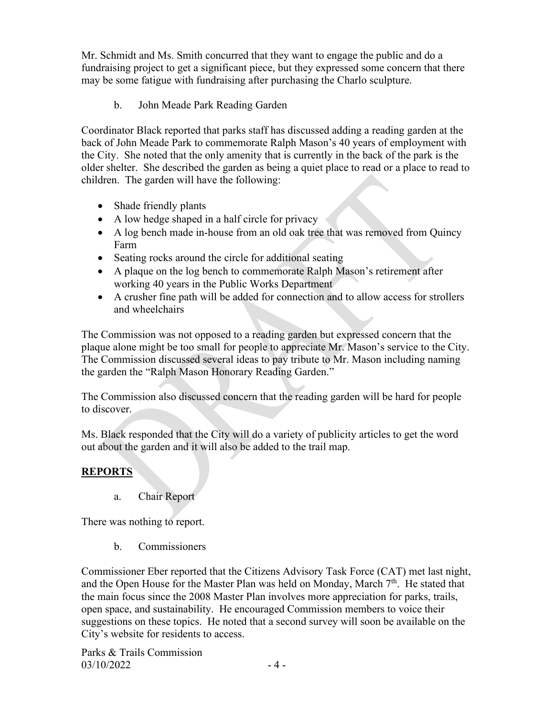Mr. Schmidt and Ms. Smith concurred that they want to engage the public and do a fundraising project to get a significant piece, but they expressed some concern that there may be some fatigue with fundraising after purchasing the Charlo sculpture.

b. John Meade Park Reading Garden

Coordinator Black reported that parks staff has discussed adding a reading garden at the back of John Meade Park to commemorate Ralph Mason's 40 years of employment with the City. She noted that the only amenity that is currently in the back of the park is the older shelter. She described the garden as being a quiet place to read or a place to read to children. The garden will have the following:

- Shade friendly plants
- A low hedge shaped in a half circle for privacy
- A log bench made in-house from an old oak tree that was removed from Quincy Farm
- Seating rocks around the circle for additional seating
- A plaque on the log bench to commemorate Ralph Mason's retirement after working 40 years in the Public Works Department
- A crusher fine path will be added for connection and to allow access for strollers and wheelchairs

The Commission was not opposed to a reading garden but expressed concern that the plaque alone might be too small for people to appreciate Mr. Mason's service to the City. The Commission discussed several ideas to pay tribute to Mr. Mason including naming the garden the "Ralph Mason Honorary Reading Garden."

The Commission also discussed concern that the reading garden will be hard for people to discover.

Ms. Black responded that the City will do a variety of publicity articles to get the word out about the garden and it will also be added to the trail map.

# **REPORTS**

a. Chair Report

There was nothing to report.

b. Commissioners

Commissioner Eber reported that the Citizens Advisory Task Force (CAT) met last night, and the Open House for the Master Plan was held on Monday, March  $7<sup>th</sup>$ . He stated that the main focus since the 2008 Master Plan involves more appreciation for parks, trails, open space, and sustainability. He encouraged Commission members to voice their suggestions on these topics. He noted that a second survey will soon be available on the City's website for residents to access.

Parks & Trails Commission  $03/10/2022$  - 4 -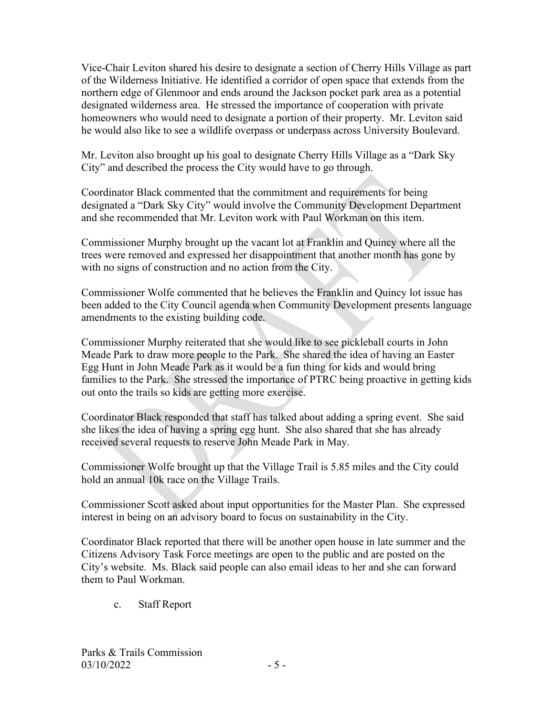Vice-Chair Leviton shared his desire to designate a section of Cherry Hills Village as part of the Wilderness Initiative. He identified a corridor of open space that extends from the northern edge of Glenmoor and ends around the Jackson pocket park area as a potential designated wilderness area. He stressed the importance of cooperation with private homeowners who would need to designate a portion of their property. Mr. Leviton said he would also like to see a wildlife overpass or underpass across University Boulevard.

Mr. Leviton also brought up his goal to designate Cherry Hills Village as a "Dark Sky City" and described the process the City would have to go through.

Coordinator Black commented that the commitment and requirements for being designated a "Dark Sky City" would involve the Community Development Department and she recommended that Mr. Leviton work with Paul Workman on this item.

Commissioner Murphy brought up the vacant lot at Franklin and Quincy where all the trees were removed and expressed her disappointment that another month has gone by with no signs of construction and no action from the City.

Commissioner Wolfe commented that he believes the Franklin and Quincy lot issue has been added to the City Council agenda when Community Development presents language amendments to the existing building code.

Commissioner Murphy reiterated that she would like to see pickleball courts in John Meade Park to draw more people to the Park. She shared the idea of having an Easter Egg Hunt in John Meade Park as it would be a fun thing for kids and would bring families to the Park. She stressed the importance of PTRC being proactive in getting kids out onto the trails so kids are getting more exercise.

Coordinator Black responded that staff has talked about adding a spring event. She said she likes the idea of having a spring egg hunt. She also shared that she has already received several requests to reserve John Meade Park in May.

Commissioner Wolfe brought up that the Village Trail is 5.85 miles and the City could hold an annual 10k race on the Village Trails.

Commissioner Scott asked about input opportunities for the Master Plan. She expressed interest in being on an advisory board to focus on sustainability in the City.

Coordinator Black reported that there will be another open house in late summer and the Citizens Advisory Task Force meetings are open to the public and are posted on the City's website. Ms. Black said people can also email ideas to her and she can forward them to Paul Workman.

c. Staff Report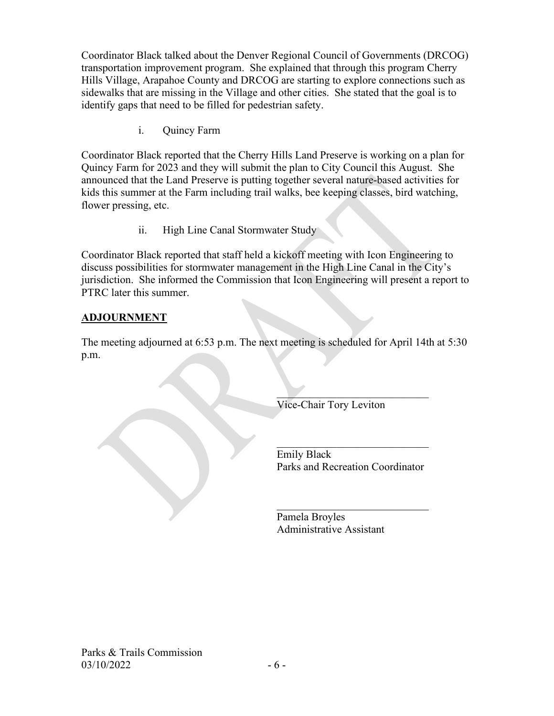Coordinator Black talked about the Denver Regional Council of Governments (DRCOG) transportation improvement program. She explained that through this program Cherry Hills Village, Arapahoe County and DRCOG are starting to explore connections such as sidewalks that are missing in the Village and other cities. She stated that the goal is to identify gaps that need to be filled for pedestrian safety.

i. Quincy Farm

Coordinator Black reported that the Cherry Hills Land Preserve is working on a plan for Quincy Farm for 2023 and they will submit the plan to City Council this August. She announced that the Land Preserve is putting together several nature-based activities for kids this summer at the Farm including trail walks, bee keeping classes, bird watching, flower pressing, etc.

ii. High Line Canal Stormwater Study

Coordinator Black reported that staff held a kickoff meeting with Icon Engineering to discuss possibilities for stormwater management in the High Line Canal in the City's jurisdiction. She informed the Commission that Icon Engineering will present a report to PTRC later this summer.

# **ADJOURNMENT**

The meeting adjourned at 6:53 p.m. The next meeting is scheduled for April 14th at 5:30 p.m.

 $\mathcal{L}_\text{max}$  and  $\mathcal{L}_\text{max}$  and  $\mathcal{L}_\text{max}$  are the set of the set of the set of the set of the set of the set of the set of the set of the set of the set of the set of the set of the set of the set of the set of th

Vice-Chair Tory Leviton

 Emily Black Parks and Recreation Coordinator

 $\frac{1}{2}$  ,  $\frac{1}{2}$  ,  $\frac{1}{2}$  ,  $\frac{1}{2}$  ,  $\frac{1}{2}$  ,  $\frac{1}{2}$  ,  $\frac{1}{2}$  ,  $\frac{1}{2}$  ,  $\frac{1}{2}$  ,  $\frac{1}{2}$  ,  $\frac{1}{2}$  ,  $\frac{1}{2}$  ,  $\frac{1}{2}$ 

 $\mathcal{L}$  , we can also the contract of the contract of  $\mathcal{L}$ 

 Pamela Broyles Administrative Assistant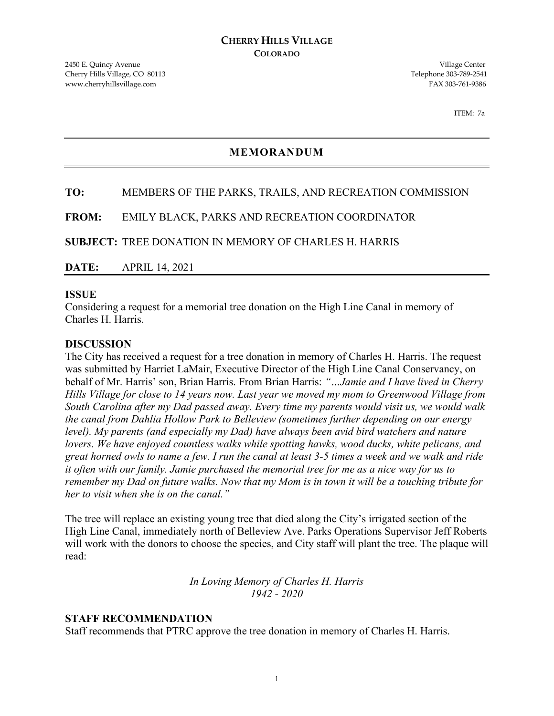ITEM: 7a

### **MEMORANDUM**

### **TO:** MEMBERS OF THE PARKS, TRAILS, AND RECREATION COMMISSION

**FROM:** EMILY BLACK, PARKS AND RECREATION COORDINATOR

**SUBJECT:** TREE DONATION IN MEMORY OF CHARLES H. HARRIS

**DATE:** APRIL 14, 2021

### **ISSUE**

Considering a request for a memorial tree donation on the High Line Canal in memory of Charles H. Harris.

### **DISCUSSION**

The City has received a request for a tree donation in memory of Charles H. Harris. The request was submitted by Harriet LaMair, Executive Director of the High Line Canal Conservancy, on behalf of Mr. Harris' son, Brian Harris. From Brian Harris: *"…Jamie and I have lived in Cherry Hills Village for close to 14 years now. Last year we moved my mom to Greenwood Village from South Carolina after my Dad passed away. Every time my parents would visit us, we would walk the canal from Dahlia Hollow Park to Belleview (sometimes further depending on our energy level). My parents (and especially my Dad) have always been avid bird watchers and nature lovers. We have enjoyed countless walks while spotting hawks, wood ducks, white pelicans, and great horned owls to name a few. I run the canal at least 3-5 times a week and we walk and ride it often with our family. Jamie purchased the memorial tree for me as a nice way for us to remember my Dad on future walks. Now that my Mom is in town it will be a touching tribute for her to visit when she is on the canal."*

The tree will replace an existing young tree that died along the City's irrigated section of the High Line Canal, immediately north of Belleview Ave. Parks Operations Supervisor Jeff Roberts will work with the donors to choose the species, and City staff will plant the tree. The plaque will read:

> *In Loving Memory of Charles H. Harris 1942 - 2020*

### **STAFF RECOMMENDATION**

Staff recommends that PTRC approve the tree donation in memory of Charles H. Harris.